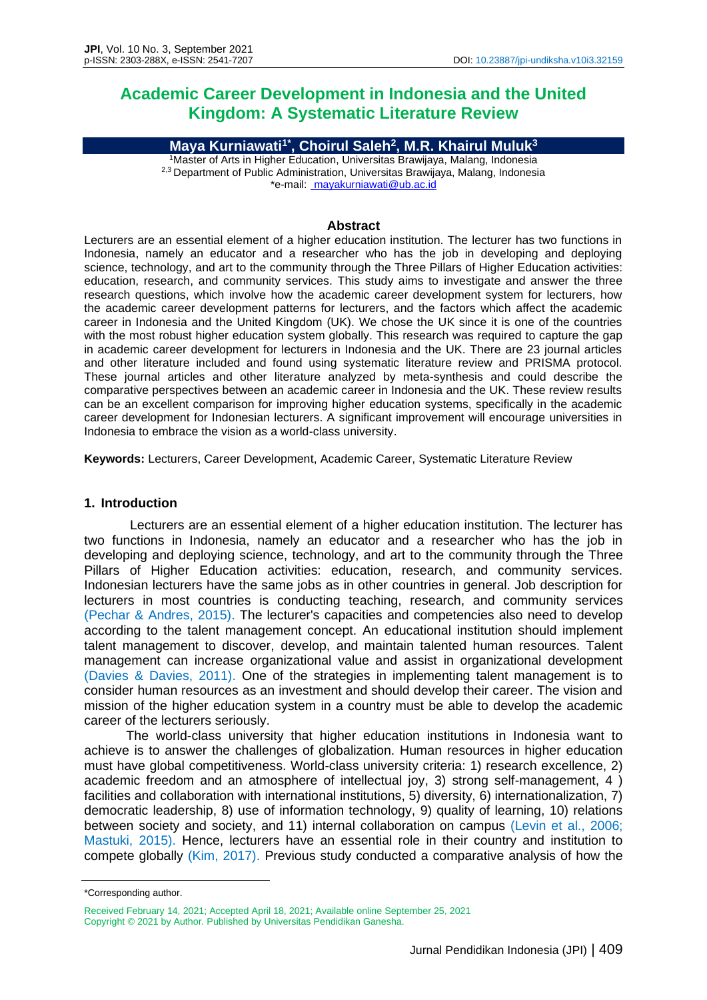# **Academic Career Development in Indonesia and the United Kingdom: A Systematic Literature Review**

**Maya Kurniawati1\*, Choirul Saleh<sup>2</sup> , M.R. Khairul Muluk<sup>3</sup>** <sup>1</sup>Master of Arts in Higher Education, Universitas Brawijaya, Malang, Indonesia

2,3 Department of Public Administration, Universitas Brawijaya, Malang, Indonesia \*e-mail: [mayakurniawati@ub.ac.id](mailto:%20anggitiaraku@gmail.com)

#### **Abstract**

Lecturers are an essential element of a higher education institution. The lecturer has two functions in Indonesia, namely an educator and a researcher who has the job in developing and deploying science, technology, and art to the community through the Three Pillars of Higher Education activities: education, research, and community services. This study aims to investigate and answer the three research questions, which involve how the academic career development system for lecturers, how the academic career development patterns for lecturers, and the factors which affect the academic career in Indonesia and the United Kingdom (UK). We chose the UK since it is one of the countries with the most robust higher education system globally. This research was required to capture the gap in academic career development for lecturers in Indonesia and the UK. There are 23 journal articles and other literature included and found using systematic literature review and PRISMA protocol. These journal articles and other literature analyzed by meta-synthesis and could describe the comparative perspectives between an academic career in Indonesia and the UK. These review results can be an excellent comparison for improving higher education systems, specifically in the academic career development for Indonesian lecturers. A significant improvement will encourage universities in Indonesia to embrace the vision as a world-class university.

**Keywords:** Lecturers, Career Development, Academic Career, Systematic Literature Review

#### **1. Introduction**

Lecturers are an essential element of a higher education institution. The lecturer has two functions in Indonesia, namely an educator and a researcher who has the job in developing and deploying science, technology, and art to the community through the Three Pillars of Higher Education activities: education, research, and community services. Indonesian lecturers have the same jobs as in other countries in general. Job description for lecturers in most countries is conducting teaching, research, and community services (Pechar & Andres, 2015). The lecturer's capacities and competencies also need to develop according to the talent management concept. An educational institution should implement talent management to discover, develop, and maintain talented human resources. Talent management can increase organizational value and assist in organizational development (Davies & Davies, 2011). One of the strategies in implementing talent management is to consider human resources as an investment and should develop their career. The vision and mission of the higher education system in a country must be able to develop the academic career of the lecturers seriously.

The world-class university that higher education institutions in Indonesia want to achieve is to answer the challenges of globalization. Human resources in higher education must have global competitiveness. World-class university criteria: 1) research excellence, 2) academic freedom and an atmosphere of intellectual joy, 3) strong self-management, 4 ) facilities and collaboration with international institutions, 5) diversity, 6) internationalization, 7) democratic leadership, 8) use of information technology, 9) quality of learning, 10) relations between society and society, and 11) internal collaboration on campus (Levin et al., 2006; Mastuki, 2015). Hence, lecturers have an essential role in their country and institution to compete globally (Kim, 2017). Previous study conducted a comparative analysis of how the

<sup>\*</sup>Corresponding author.

Received February 14, 2021; Accepted April 18, 2021; Available online September 25, 2021 Copyright © 2021 by Author. Published by Universitas Pendidikan Ganesha.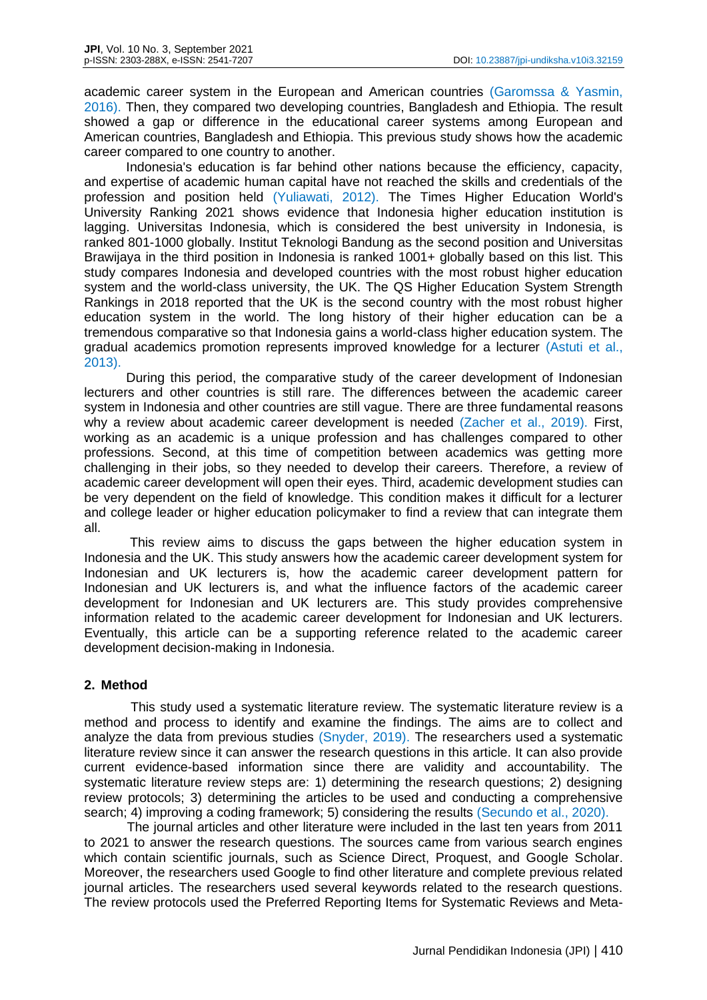academic career system in the European and American countries (Garomssa & Yasmin, 2016). Then, they compared two developing countries, Bangladesh and Ethiopia. The result showed a gap or difference in the educational career systems among European and American countries, Bangladesh and Ethiopia. This previous study shows how the academic career compared to one country to another.

Indonesia's education is far behind other nations because the efficiency, capacity, and expertise of academic human capital have not reached the skills and credentials of the profession and position held (Yuliawati, 2012). The Times Higher Education World's University Ranking 2021 shows evidence that Indonesia higher education institution is lagging. Universitas Indonesia, which is considered the best university in Indonesia, is ranked 801-1000 globally. Institut Teknologi Bandung as the second position and Universitas Brawijaya in the third position in Indonesia is ranked 1001+ globally based on this list. This study compares Indonesia and developed countries with the most robust higher education system and the world-class university, the UK. The QS Higher Education System Strength Rankings in 2018 reported that the UK is the second country with the most robust higher education system in the world. The long history of their higher education can be a tremendous comparative so that Indonesia gains a world-class higher education system. The gradual academics promotion represents improved knowledge for a lecturer (Astuti et al., 2013).

During this period, the comparative study of the career development of Indonesian lecturers and other countries is still rare. The differences between the academic career system in Indonesia and other countries are still vague. There are three fundamental reasons why a review about academic career development is needed (Zacher et al., 2019). First, working as an academic is a unique profession and has challenges compared to other professions. Second, at this time of competition between academics was getting more challenging in their jobs, so they needed to develop their careers. Therefore, a review of academic career development will open their eyes. Third, academic development studies can be very dependent on the field of knowledge. This condition makes it difficult for a lecturer and college leader or higher education policymaker to find a review that can integrate them all.

This review aims to discuss the gaps between the higher education system in Indonesia and the UK. This study answers how the academic career development system for Indonesian and UK lecturers is, how the academic career development pattern for Indonesian and UK lecturers is, and what the influence factors of the academic career development for Indonesian and UK lecturers are. This study provides comprehensive information related to the academic career development for Indonesian and UK lecturers. Eventually, this article can be a supporting reference related to the academic career development decision-making in Indonesia.

## **2. Method**

This study used a systematic literature review. The systematic literature review is a method and process to identify and examine the findings. The aims are to collect and analyze the data from previous studies (Snyder, 2019). The researchers used a systematic literature review since it can answer the research questions in this article. It can also provide current evidence-based information since there are validity and accountability. The systematic literature review steps are: 1) determining the research questions; 2) designing review protocols; 3) determining the articles to be used and conducting a comprehensive search; 4) improving a coding framework; 5) considering the results (Secundo et al., 2020).

The journal articles and other literature were included in the last ten years from 2011 to 2021 to answer the research questions. The sources came from various search engines which contain scientific journals, such as Science Direct, Proquest, and Google Scholar. Moreover, the researchers used Google to find other literature and complete previous related journal articles. The researchers used several keywords related to the research questions. The review protocols used the Preferred Reporting Items for Systematic Reviews and Meta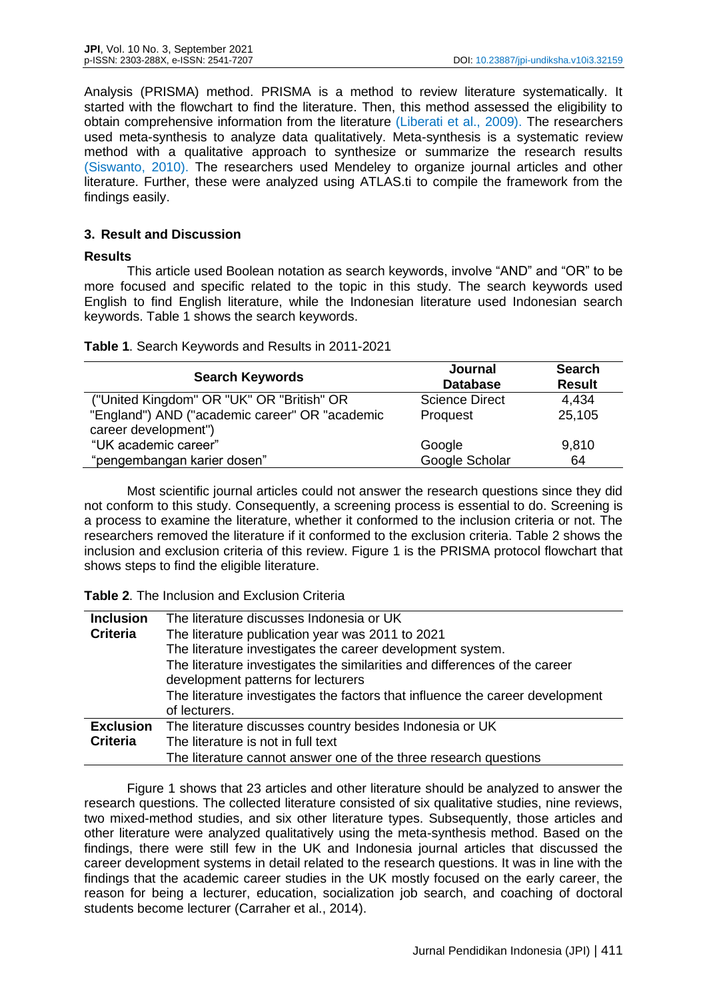Analysis (PRISMA) method. PRISMA is a method to review literature systematically. It started with the flowchart to find the literature. Then, this method assessed the eligibility to obtain comprehensive information from the literature (Liberati et al., 2009). The researchers used meta-synthesis to analyze data qualitatively. Meta-synthesis is a systematic review method with a qualitative approach to synthesize or summarize the research results (Siswanto, 2010). The researchers used Mendeley to organize journal articles and other literature. Further, these were analyzed using ATLAS.ti to compile the framework from the findings easily.

## **3. Result and Discussion**

#### **Results**

This article used Boolean notation as search keywords, involve "AND" and "OR" to be more focused and specific related to the topic in this study. The search keywords used English to find English literature, while the Indonesian literature used Indonesian search keywords. Table 1 shows the search keywords.

| Table 1. Search Keywords and Results in 2011-2021 |  |  |  |
|---------------------------------------------------|--|--|--|
|---------------------------------------------------|--|--|--|

| <b>Search Keywords</b>                         | Journal<br><b>Database</b> | <b>Search</b><br><b>Result</b> |
|------------------------------------------------|----------------------------|--------------------------------|
| ("United Kingdom" OR "UK" OR "British" OR      | <b>Science Direct</b>      | 4,434                          |
| "England") AND ("academic career" OR "academic | Proquest                   | 25,105                         |
| career development")                           |                            |                                |
| "UK academic career"                           | Google                     | 9,810                          |
| "pengembangan karier dosen"                    | Google Scholar             | 64                             |

Most scientific journal articles could not answer the research questions since they did not conform to this study. Consequently, a screening process is essential to do. Screening is a process to examine the literature, whether it conformed to the inclusion criteria or not. The researchers removed the literature if it conformed to the exclusion criteria. Table 2 shows the inclusion and exclusion criteria of this review. Figure 1 is the PRISMA protocol flowchart that shows steps to find the eligible literature.

**Table 2**. The Inclusion and Exclusion Criteria

| <b>Inclusion</b> | The literature discusses Indonesia or UK                                                                         |
|------------------|------------------------------------------------------------------------------------------------------------------|
| <b>Criteria</b>  | The literature publication year was 2011 to 2021                                                                 |
|                  | The literature investigates the career development system.                                                       |
|                  | The literature investigates the similarities and differences of the career<br>development patterns for lecturers |
|                  | The literature investigates the factors that influence the career development                                    |
|                  | of lecturers.                                                                                                    |
| <b>Exclusion</b> | The literature discusses country besides Indonesia or UK                                                         |
| <b>Criteria</b>  | The literature is not in full text                                                                               |
|                  | The literature cannot answer one of the three research questions                                                 |

Figure 1 shows that 23 articles and other literature should be analyzed to answer the research questions. The collected literature consisted of six qualitative studies, nine reviews, two mixed-method studies, and six other literature types. Subsequently, those articles and other literature were analyzed qualitatively using the meta-synthesis method. Based on the findings, there were still few in the UK and Indonesia journal articles that discussed the career development systems in detail related to the research questions. It was in line with the findings that the academic career studies in the UK mostly focused on the early career, the reason for being a lecturer, education, socialization job search, and coaching of doctoral students become lecturer (Carraher et al., 2014).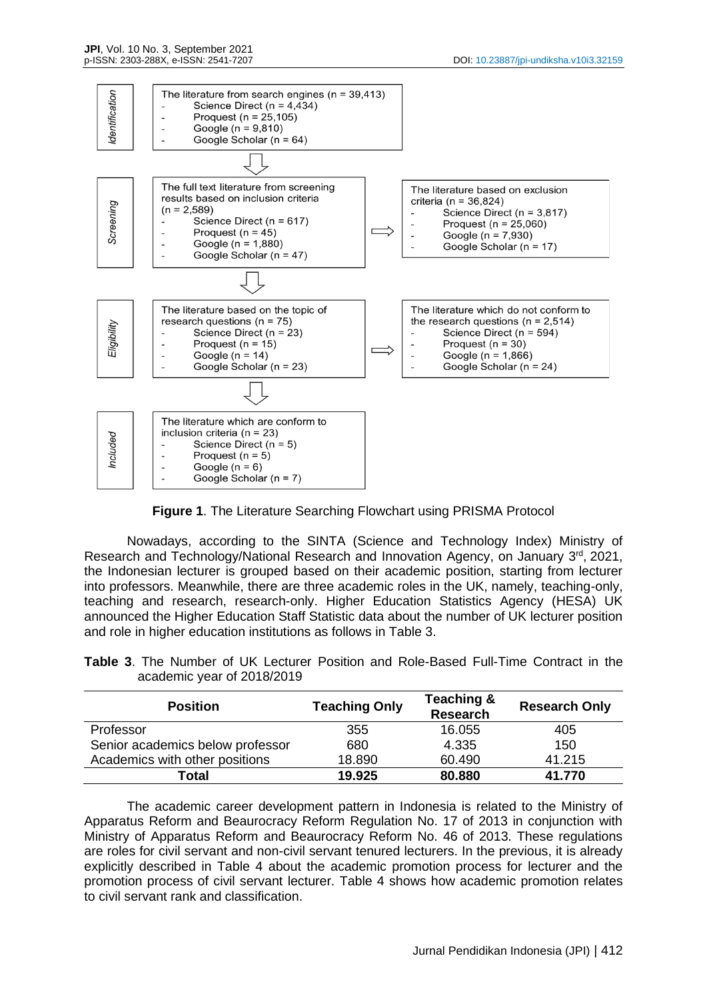

**Figure 1**. The Literature Searching Flowchart using PRISMA Protocol

Nowadays, according to the SINTA (Science and Technology Index) Ministry of Research and Technology/National Research and Innovation Agency, on January 3rd, 2021, the Indonesian lecturer is grouped based on their academic position, starting from lecturer into professors. Meanwhile, there are three academic roles in the UK, namely, teaching-only, teaching and research, research-only. Higher Education Statistics Agency (HESA) UK announced the Higher Education Staff Statistic data about the number of UK lecturer position and role in higher education institutions as follows in Table 3.

**Table 3**. The Number of UK Lecturer Position and Role-Based Full-Time Contract in the academic year of 2018/2019

| <b>Position</b>                  | <b>Teaching Only</b> | Teaching &<br><b>Research</b> | <b>Research Only</b> |
|----------------------------------|----------------------|-------------------------------|----------------------|
| Professor                        | 355                  | 16.055                        | 405                  |
| Senior academics below professor | 680                  | 4.335                         | 150                  |
| Academics with other positions   | 18.890               | 60.490                        | 41.215               |
| Total                            | 19.925               | 80.880                        | 41.770               |

The academic career development pattern in Indonesia is related to the Ministry of Apparatus Reform and Beaurocracy Reform Regulation No. 17 of 2013 in conjunction with Ministry of Apparatus Reform and Beaurocracy Reform No. 46 of 2013. These regulations are roles for civil servant and non-civil servant tenured lecturers. In the previous, it is already explicitly described in Table 4 about the academic promotion process for lecturer and the promotion process of civil servant lecturer. Table 4 shows how academic promotion relates to civil servant rank and classification.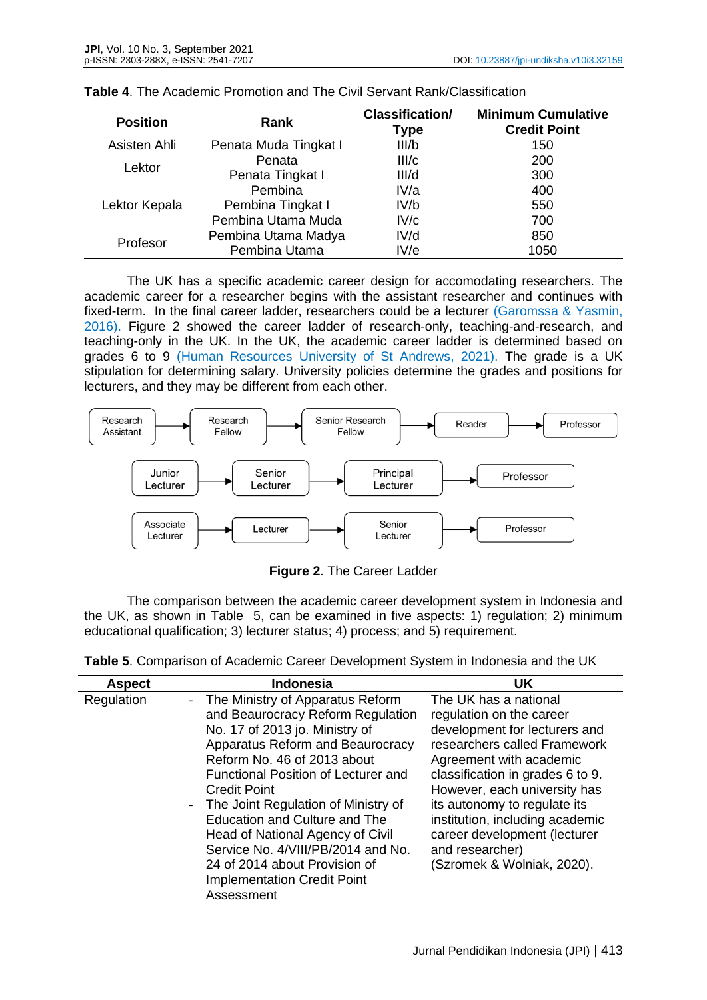| <b>Position</b> | Rank                  | <b>Classification/</b><br>Type | <b>Minimum Cumulative</b><br><b>Credit Point</b> |
|-----------------|-----------------------|--------------------------------|--------------------------------------------------|
| Asisten Ahli    | Penata Muda Tingkat I | III/b                          | 150                                              |
| Lektor          | Penata                | III/c                          | 200                                              |
|                 | Penata Tingkat I      | III/d                          | 300                                              |
|                 | Pembina               | IV/a                           | 400                                              |
| Lektor Kepala   | Pembina Tingkat I     | IV/b                           | 550                                              |
|                 | Pembina Utama Muda    | IV/c                           | 700                                              |
| Profesor        | Pembina Utama Madya   | IV/d                           | 850                                              |
|                 | Pembina Utama         | IV/e                           | 1050                                             |

|  |  | <b>Table 4.</b> The Academic Promotion and The Civil Servant Rank/Classification |
|--|--|----------------------------------------------------------------------------------|
|  |  |                                                                                  |

The UK has a specific academic career design for accomodating researchers. The academic career for a researcher begins with the assistant researcher and continues with fixed-term. In the final career ladder, researchers could be a lecturer (Garomssa & Yasmin, 2016). Figure 2 showed the career ladder of research-only, teaching-and-research, and teaching-only in the UK. In the UK, the academic career ladder is determined based on grades 6 to 9 (Human Resources University of St Andrews, 2021). The grade is a UK stipulation for determining salary. University policies determine the grades and positions for lecturers, and they may be different from each other.



**Figure 2**. The Career Ladder

The comparison between the academic career development system in Indonesia and the UK, as shown in Table 5, can be examined in five aspects: 1) regulation; 2) minimum educational qualification; 3) lecturer status; 4) process; and 5) requirement.

| <b>Aspect</b> | <b>Indonesia</b>                                                                                                                                                                                                                                                                                                                                                                                                                                                                           | <b>UK</b>                                                                                                                                                                                                                                                                                                                                                             |
|---------------|--------------------------------------------------------------------------------------------------------------------------------------------------------------------------------------------------------------------------------------------------------------------------------------------------------------------------------------------------------------------------------------------------------------------------------------------------------------------------------------------|-----------------------------------------------------------------------------------------------------------------------------------------------------------------------------------------------------------------------------------------------------------------------------------------------------------------------------------------------------------------------|
| Regulation    | - The Ministry of Apparatus Reform<br>and Beaurocracy Reform Regulation<br>No. 17 of 2013 jo. Ministry of<br>Apparatus Reform and Beaurocracy<br>Reform No. 46 of 2013 about<br>Functional Position of Lecturer and<br><b>Credit Point</b><br>- The Joint Regulation of Ministry of<br><b>Education and Culture and The</b><br>Head of National Agency of Civil<br>Service No. 4/VIII/PB/2014 and No.<br>24 of 2014 about Provision of<br><b>Implementation Credit Point</b><br>Assessment | The UK has a national<br>regulation on the career<br>development for lecturers and<br>researchers called Framework<br>Agreement with academic<br>classification in grades 6 to 9.<br>However, each university has<br>its autonomy to regulate its<br>institution, including academic<br>career development (lecturer<br>and researcher)<br>(Szromek & Wolniak, 2020). |

**Table 5**. Comparison of Academic Career Development System in Indonesia and the UK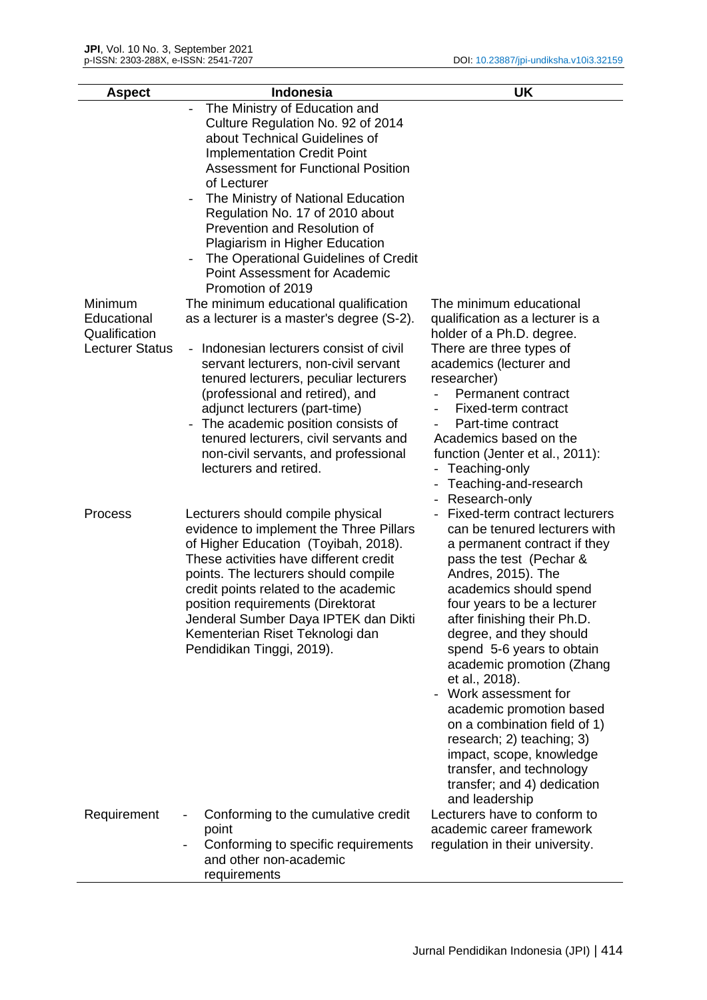| <b>Aspect</b>                                          | <b>Indonesia</b>                                                                                                                                                                                                                                                                                                                                                                                                                                      | <b>UK</b>                                                                                                                                                                                                                                                                                                                                                                                                                                                                                                                                                               |
|--------------------------------------------------------|-------------------------------------------------------------------------------------------------------------------------------------------------------------------------------------------------------------------------------------------------------------------------------------------------------------------------------------------------------------------------------------------------------------------------------------------------------|-------------------------------------------------------------------------------------------------------------------------------------------------------------------------------------------------------------------------------------------------------------------------------------------------------------------------------------------------------------------------------------------------------------------------------------------------------------------------------------------------------------------------------------------------------------------------|
| Minimum                                                | The Ministry of Education and<br>Culture Regulation No. 92 of 2014<br>about Technical Guidelines of<br><b>Implementation Credit Point</b><br><b>Assessment for Functional Position</b><br>of Lecturer<br>The Ministry of National Education<br>Regulation No. 17 of 2010 about<br>Prevention and Resolution of<br><b>Plagiarism in Higher Education</b><br>The Operational Guidelines of Credit<br>Point Assessment for Academic<br>Promotion of 2019 | The minimum educational                                                                                                                                                                                                                                                                                                                                                                                                                                                                                                                                                 |
| Educational<br>Qualification<br><b>Lecturer Status</b> | The minimum educational qualification<br>as a lecturer is a master's degree (S-2).<br>Indonesian lecturers consist of civil<br>servant lecturers, non-civil servant<br>tenured lecturers, peculiar lecturers<br>(professional and retired), and<br>adjunct lecturers (part-time)<br>The academic position consists of<br>tenured lecturers, civil servants and<br>non-civil servants, and professional<br>lecturers and retired.                      | qualification as a lecturer is a<br>holder of a Ph.D. degree.<br>There are three types of<br>academics (lecturer and<br>researcher)<br>Permanent contract<br>Fixed-term contract<br>Part-time contract<br>Academics based on the<br>function (Jenter et al., 2011):<br>Teaching-only<br>Teaching-and-research<br>Research-only                                                                                                                                                                                                                                          |
| Process                                                | Lecturers should compile physical<br>evidence to implement the Three Pillars<br>of Higher Education (Toyibah, 2018).<br>These activities have different credit<br>points. The lecturers should compile<br>credit points related to the academic<br>position requirements (Direktorat<br>Jenderal Sumber Daya IPTEK dan Dikti<br>Kementerian Riset Teknologi dan<br>Pendidikan Tinggi, 2019).                                                          | Fixed-term contract lecturers<br>can be tenured lecturers with<br>a permanent contract if they<br>pass the test (Pechar &<br>Andres, 2015). The<br>academics should spend<br>four years to be a lecturer<br>after finishing their Ph.D.<br>degree, and they should<br>spend 5-6 years to obtain<br>academic promotion (Zhang<br>et al., 2018).<br>Work assessment for<br>academic promotion based<br>on a combination field of 1)<br>research; 2) teaching; 3)<br>impact, scope, knowledge<br>transfer, and technology<br>transfer; and 4) dedication<br>and leadership |
| Requirement                                            | Conforming to the cumulative credit<br>point<br>Conforming to specific requirements<br>and other non-academic<br>requirements                                                                                                                                                                                                                                                                                                                         | Lecturers have to conform to<br>academic career framework<br>regulation in their university.                                                                                                                                                                                                                                                                                                                                                                                                                                                                            |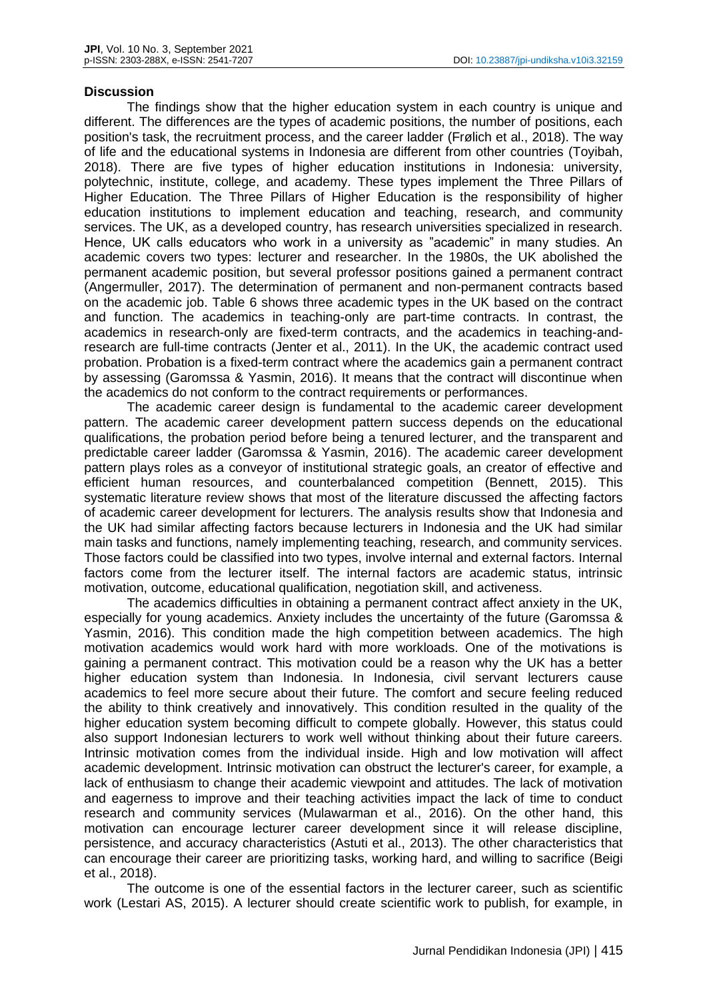#### **Discussion**

The findings show that the higher education system in each country is unique and different. The differences are the types of academic positions, the number of positions, each position's task, the recruitment process, and the career ladder (Frølich et al., 2018). The way of life and the educational systems in Indonesia are different from other countries (Toyibah, 2018). There are five types of higher education institutions in Indonesia: university, polytechnic, institute, college, and academy. These types implement the Three Pillars of Higher Education. The Three Pillars of Higher Education is the responsibility of higher education institutions to implement education and teaching, research, and community services. The UK, as a developed country, has research universities specialized in research. Hence, UK calls educators who work in a university as "academic" in many studies. An academic covers two types: lecturer and researcher. In the 1980s, the UK abolished the permanent academic position, but several professor positions gained a permanent contract (Angermuller, 2017). The determination of permanent and non-permanent contracts based on the academic job. Table 6 shows three academic types in the UK based on the contract and function. The academics in teaching-only are part-time contracts. In contrast, the academics in research-only are fixed-term contracts, and the academics in teaching-andresearch are full-time contracts (Jenter et al., 2011). In the UK, the academic contract used probation. Probation is a fixed-term contract where the academics gain a permanent contract by assessing (Garomssa & Yasmin, 2016). It means that the contract will discontinue when the academics do not conform to the contract requirements or performances.

The academic career design is fundamental to the academic career development pattern. The academic career development pattern success depends on the educational qualifications, the probation period before being a tenured lecturer, and the transparent and predictable career ladder (Garomssa & Yasmin, 2016). The academic career development pattern plays roles as a conveyor of institutional strategic goals, an creator of effective and efficient human resources, and counterbalanced competition (Bennett, 2015). This systematic literature review shows that most of the literature discussed the affecting factors of academic career development for lecturers. The analysis results show that Indonesia and the UK had similar affecting factors because lecturers in Indonesia and the UK had similar main tasks and functions, namely implementing teaching, research, and community services. Those factors could be classified into two types, involve internal and external factors. Internal factors come from the lecturer itself. The internal factors are academic status, intrinsic motivation, outcome, educational qualification, negotiation skill, and activeness.

The academics difficulties in obtaining a permanent contract affect anxiety in the UK, especially for young academics. Anxiety includes the uncertainty of the future (Garomssa & Yasmin, 2016). This condition made the high competition between academics. The high motivation academics would work hard with more workloads. One of the motivations is gaining a permanent contract. This motivation could be a reason why the UK has a better higher education system than Indonesia. In Indonesia, civil servant lecturers cause academics to feel more secure about their future. The comfort and secure feeling reduced the ability to think creatively and innovatively. This condition resulted in the quality of the higher education system becoming difficult to compete globally. However, this status could also support Indonesian lecturers to work well without thinking about their future careers. Intrinsic motivation comes from the individual inside. High and low motivation will affect academic development. Intrinsic motivation can obstruct the lecturer's career, for example, a lack of enthusiasm to change their academic viewpoint and attitudes. The lack of motivation and eagerness to improve and their teaching activities impact the lack of time to conduct research and community services (Mulawarman et al., 2016). On the other hand, this motivation can encourage lecturer career development since it will release discipline, persistence, and accuracy characteristics (Astuti et al., 2013). The other characteristics that can encourage their career are prioritizing tasks, working hard, and willing to sacrifice (Beigi et al., 2018).

The outcome is one of the essential factors in the lecturer career, such as scientific work (Lestari AS, 2015). A lecturer should create scientific work to publish, for example, in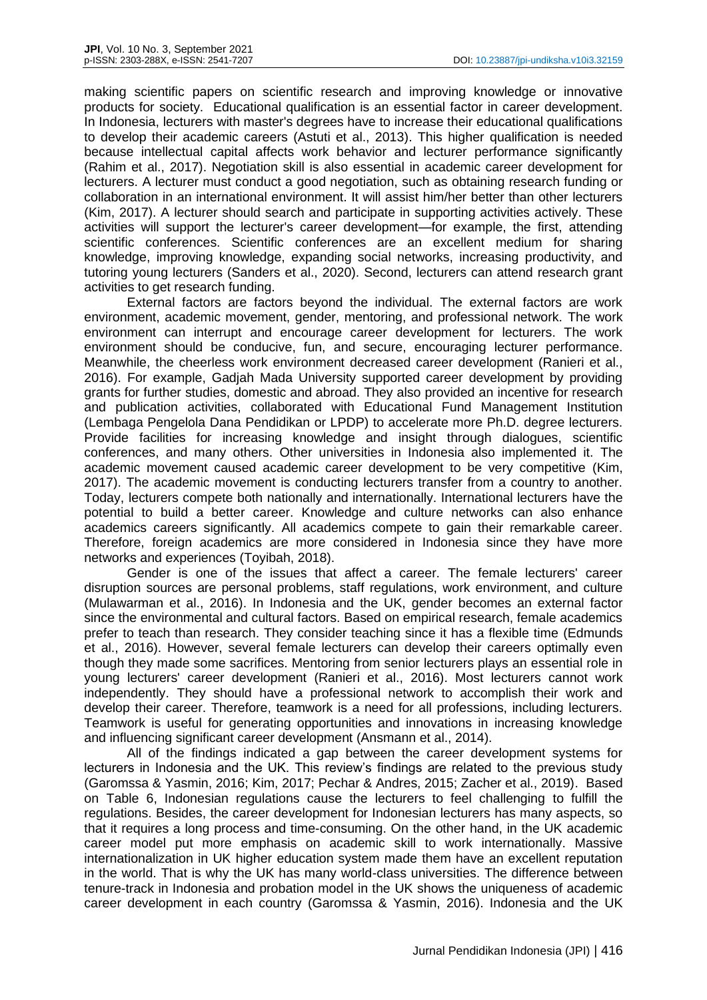making scientific papers on scientific research and improving knowledge or innovative products for society. Educational qualification is an essential factor in career development. In Indonesia, lecturers with master's degrees have to increase their educational qualifications to develop their academic careers (Astuti et al., 2013). This higher qualification is needed because intellectual capital affects work behavior and lecturer performance significantly (Rahim et al., 2017). Negotiation skill is also essential in academic career development for lecturers. A lecturer must conduct a good negotiation, such as obtaining research funding or collaboration in an international environment. It will assist him/her better than other lecturers (Kim, 2017). A lecturer should search and participate in supporting activities actively. These activities will support the lecturer's career development—for example, the first, attending scientific conferences. Scientific conferences are an excellent medium for sharing knowledge, improving knowledge, expanding social networks, increasing productivity, and tutoring young lecturers (Sanders et al., 2020). Second, lecturers can attend research grant activities to get research funding.

External factors are factors beyond the individual. The external factors are work environment, academic movement, gender, mentoring, and professional network. The work environment can interrupt and encourage career development for lecturers. The work environment should be conducive, fun, and secure, encouraging lecturer performance. Meanwhile, the cheerless work environment decreased career development (Ranieri et al., 2016). For example, Gadjah Mada University supported career development by providing grants for further studies, domestic and abroad. They also provided an incentive for research and publication activities, collaborated with Educational Fund Management Institution (Lembaga Pengelola Dana Pendidikan or LPDP) to accelerate more Ph.D. degree lecturers. Provide facilities for increasing knowledge and insight through dialogues, scientific conferences, and many others. Other universities in Indonesia also implemented it. The academic movement caused academic career development to be very competitive (Kim, 2017). The academic movement is conducting lecturers transfer from a country to another. Today, lecturers compete both nationally and internationally. International lecturers have the potential to build a better career. Knowledge and culture networks can also enhance academics careers significantly. All academics compete to gain their remarkable career. Therefore, foreign academics are more considered in Indonesia since they have more networks and experiences (Toyibah, 2018).

Gender is one of the issues that affect a career. The female lecturers' career disruption sources are personal problems, staff regulations, work environment, and culture (Mulawarman et al., 2016). In Indonesia and the UK, gender becomes an external factor since the environmental and cultural factors. Based on empirical research, female academics prefer to teach than research. They consider teaching since it has a flexible time (Edmunds et al., 2016). However, several female lecturers can develop their careers optimally even though they made some sacrifices. Mentoring from senior lecturers plays an essential role in young lecturers' career development (Ranieri et al., 2016). Most lecturers cannot work independently. They should have a professional network to accomplish their work and develop their career. Therefore, teamwork is a need for all professions, including lecturers. Teamwork is useful for generating opportunities and innovations in increasing knowledge and influencing significant career development (Ansmann et al., 2014).

All of the findings indicated a gap between the career development systems for lecturers in Indonesia and the UK. This review's findings are related to the previous study (Garomssa & Yasmin, 2016; Kim, 2017; Pechar & Andres, 2015; Zacher et al., 2019). Based on Table 6, Indonesian regulations cause the lecturers to feel challenging to fulfill the regulations. Besides, the career development for Indonesian lecturers has many aspects, so that it requires a long process and time-consuming. On the other hand, in the UK academic career model put more emphasis on academic skill to work internationally. Massive internationalization in UK higher education system made them have an excellent reputation in the world. That is why the UK has many world-class universities. The difference between tenure-track in Indonesia and probation model in the UK shows the uniqueness of academic career development in each country (Garomssa & Yasmin, 2016). Indonesia and the UK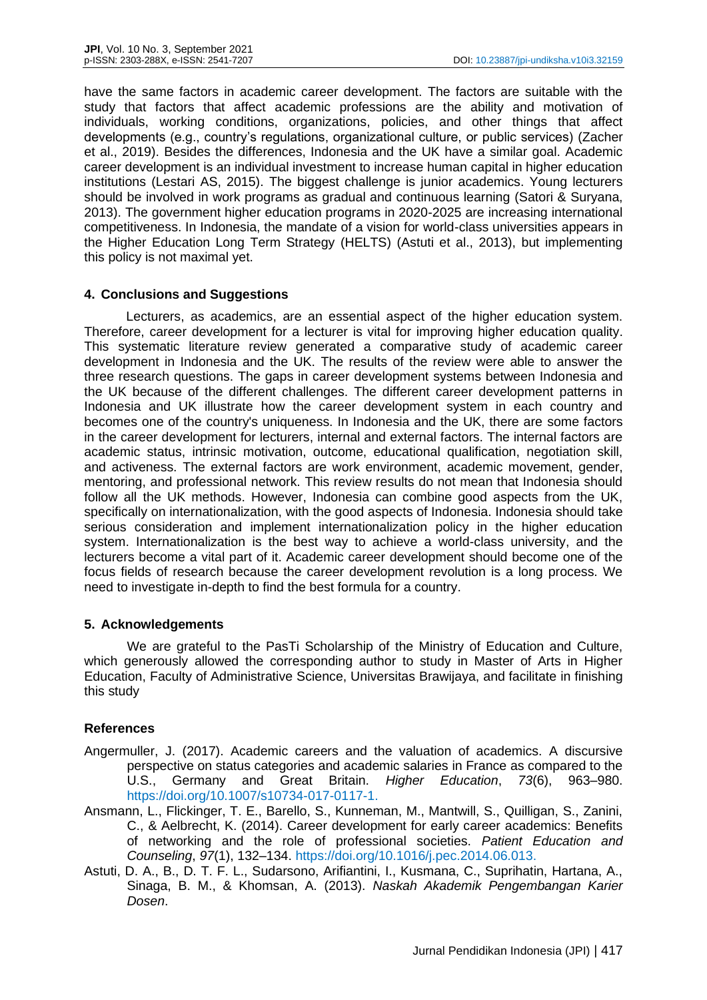have the same factors in academic career development. The factors are suitable with the study that factors that affect academic professions are the ability and motivation of individuals, working conditions, organizations, policies, and other things that affect developments (e.g., country's regulations, organizational culture, or public services) (Zacher et al., 2019). Besides the differences, Indonesia and the UK have a similar goal. Academic career development is an individual investment to increase human capital in higher education institutions (Lestari AS, 2015). The biggest challenge is junior academics. Young lecturers should be involved in work programs as gradual and continuous learning (Satori & Suryana, 2013). The government higher education programs in 2020-2025 are increasing international competitiveness. In Indonesia, the mandate of a vision for world-class universities appears in the Higher Education Long Term Strategy (HELTS) (Astuti et al., 2013), but implementing this policy is not maximal yet.

## **4. Conclusions and Suggestions**

Lecturers, as academics, are an essential aspect of the higher education system. Therefore, career development for a lecturer is vital for improving higher education quality. This systematic literature review generated a comparative study of academic career development in Indonesia and the UK. The results of the review were able to answer the three research questions. The gaps in career development systems between Indonesia and the UK because of the different challenges. The different career development patterns in Indonesia and UK illustrate how the career development system in each country and becomes one of the country's uniqueness. In Indonesia and the UK, there are some factors in the career development for lecturers, internal and external factors. The internal factors are academic status, intrinsic motivation, outcome, educational qualification, negotiation skill, and activeness. The external factors are work environment, academic movement, gender, mentoring, and professional network. This review results do not mean that Indonesia should follow all the UK methods. However, Indonesia can combine good aspects from the UK, specifically on internationalization, with the good aspects of Indonesia. Indonesia should take serious consideration and implement internationalization policy in the higher education system. Internationalization is the best way to achieve a world-class university, and the lecturers become a vital part of it. Academic career development should become one of the focus fields of research because the career development revolution is a long process. We need to investigate in-depth to find the best formula for a country.

## **5. Acknowledgements**

We are grateful to the PasTi Scholarship of the Ministry of Education and Culture, which generously allowed the corresponding author to study in Master of Arts in Higher Education, Faculty of Administrative Science, Universitas Brawijaya, and facilitate in finishing this study

# **References**

- Angermuller, J. (2017). Academic careers and the valuation of academics. A discursive perspective on status categories and academic salaries in France as compared to the U.S., Germany and Great Britain. *Higher Education*, *73*(6), 963–980. https://doi.org/10.1007/s10734-017-0117-1.
- Ansmann, L., Flickinger, T. E., Barello, S., Kunneman, M., Mantwill, S., Quilligan, S., Zanini, C., & Aelbrecht, K. (2014). Career development for early career academics: Benefits of networking and the role of professional societies. *Patient Education and Counseling*, *97*(1), 132–134. https://doi.org/10.1016/j.pec.2014.06.013.
- Astuti, D. A., B., D. T. F. L., Sudarsono, Arifiantini, I., Kusmana, C., Suprihatin, Hartana, A., Sinaga, B. M., & Khomsan, A. (2013). *Naskah Akademik Pengembangan Karier Dosen*.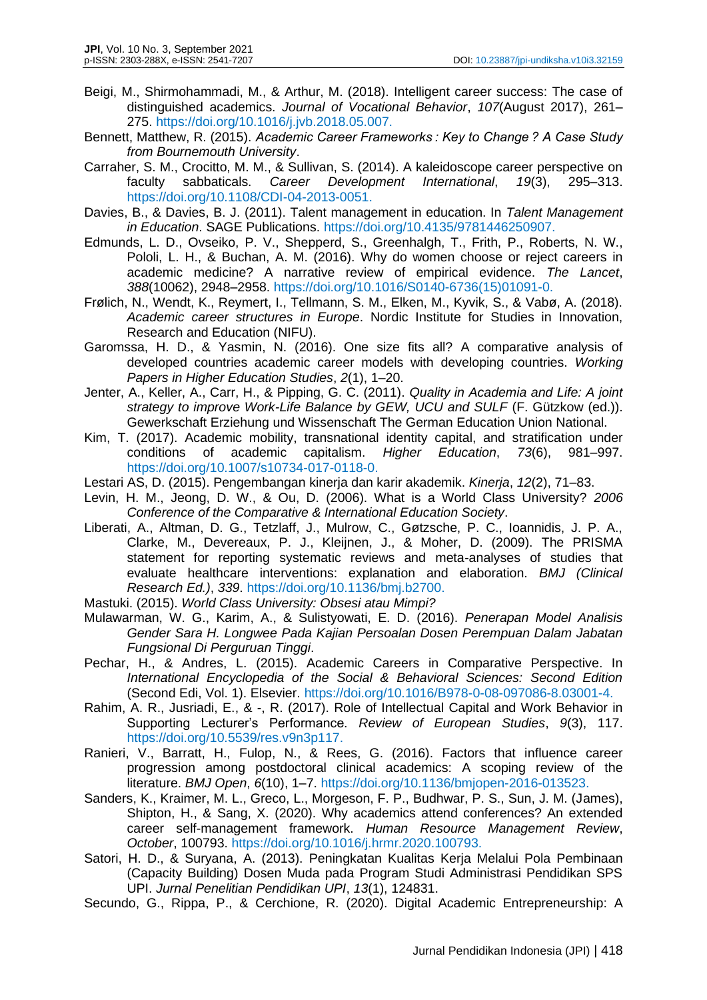- Beigi, M., Shirmohammadi, M., & Arthur, M. (2018). Intelligent career success: The case of distinguished academics. *Journal of Vocational Behavior*, *107*(August 2017), 261– 275. https://doi.org/10.1016/j.jvb.2018.05.007.
- Bennett, Matthew, R. (2015). *Academic Career Frameworks : Key to Change ? A Case Study from Bournemouth University*.
- Carraher, S. M., Crocitto, M. M., & Sullivan, S. (2014). A kaleidoscope career perspective on faculty sabbaticals. *Career Development International*, *19*(3), 295–313. https://doi.org/10.1108/CDI-04-2013-0051.
- Davies, B., & Davies, B. J. (2011). Talent management in education. In *Talent Management in Education*. SAGE Publications. https://doi.org/10.4135/9781446250907.
- Edmunds, L. D., Ovseiko, P. V., Shepperd, S., Greenhalgh, T., Frith, P., Roberts, N. W., Pololi, L. H., & Buchan, A. M. (2016). Why do women choose or reject careers in academic medicine? A narrative review of empirical evidence. *The Lancet*, *388*(10062), 2948–2958. https://doi.org/10.1016/S0140-6736(15)01091-0.
- Frølich, N., Wendt, K., Reymert, I., Tellmann, S. M., Elken, M., Kyvik, S., & Vabø, A. (2018). *Academic career structures in Europe*. Nordic Institute for Studies in Innovation, Research and Education (NIFU).
- Garomssa, H. D., & Yasmin, N. (2016). One size fits all? A comparative analysis of developed countries academic career models with developing countries. *Working Papers in Higher Education Studies*, *2*(1), 1–20.
- Jenter, A., Keller, A., Carr, H., & Pipping, G. C. (2011). *Quality in Academia and Life: A joint strategy to improve Work-Life Balance by GEW, UCU and SULF* (F. Gützkow (ed.)). Gewerkschaft Erziehung und Wissenschaft The German Education Union National.
- Kim, T. (2017). Academic mobility, transnational identity capital, and stratification under conditions of academic capitalism. *Higher Education*, *73*(6), 981–997. https://doi.org/10.1007/s10734-017-0118-0.
- Lestari AS, D. (2015). Pengembangan kinerja dan karir akademik. *Kinerja*, *12*(2), 71–83.
- Levin, H. M., Jeong, D. W., & Ou, D. (2006). What is a World Class University? *2006 Conference of the Comparative & International Education Society*.
- Liberati, A., Altman, D. G., Tetzlaff, J., Mulrow, C., Gøtzsche, P. C., Ioannidis, J. P. A., Clarke, M., Devereaux, P. J., Kleijnen, J., & Moher, D. (2009). The PRISMA statement for reporting systematic reviews and meta-analyses of studies that evaluate healthcare interventions: explanation and elaboration. *BMJ (Clinical Research Ed.)*, *339*. https://doi.org/10.1136/bmj.b2700.
- Mastuki. (2015). *World Class University: Obsesi atau Mimpi?*
- Mulawarman, W. G., Karim, A., & Sulistyowati, E. D. (2016). *Penerapan Model Analisis Gender Sara H. Longwee Pada Kajian Persoalan Dosen Perempuan Dalam Jabatan Fungsional Di Perguruan Tinggi*.
- Pechar, H., & Andres, L. (2015). Academic Careers in Comparative Perspective. In *International Encyclopedia of the Social & Behavioral Sciences: Second Edition* (Second Edi, Vol. 1). Elsevier. https://doi.org/10.1016/B978-0-08-097086-8.03001-4.
- Rahim, A. R., Jusriadi, E., & -, R. (2017). Role of Intellectual Capital and Work Behavior in Supporting Lecturer's Performance. *Review of European Studies*, *9*(3), 117. https://doi.org/10.5539/res.v9n3p117.
- Ranieri, V., Barratt, H., Fulop, N., & Rees, G. (2016). Factors that influence career progression among postdoctoral clinical academics: A scoping review of the literature. *BMJ Open*, *6*(10), 1–7. https://doi.org/10.1136/bmjopen-2016-013523.
- Sanders, K., Kraimer, M. L., Greco, L., Morgeson, F. P., Budhwar, P. S., Sun, J. M. (James), Shipton, H., & Sang, X. (2020). Why academics attend conferences? An extended career self-management framework. *Human Resource Management Review*, *October*, 100793. https://doi.org/10.1016/j.hrmr.2020.100793.
- Satori, H. D., & Suryana, A. (2013). Peningkatan Kualitas Kerja Melalui Pola Pembinaan (Capacity Building) Dosen Muda pada Program Studi Administrasi Pendidikan SPS UPI. *Jurnal Penelitian Pendidikan UPI*, *13*(1), 124831.
- Secundo, G., Rippa, P., & Cerchione, R. (2020). Digital Academic Entrepreneurship: A